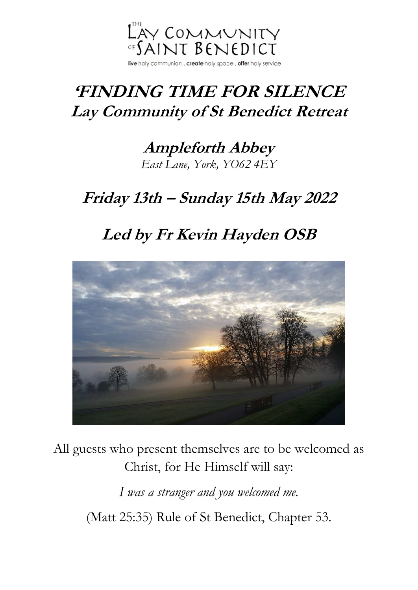

# **'FINDING TIME FOR SILENCE Lay Community of St Benedict Retreat**

**Ampleforth Abbey** *[East Lane, York,](https://www.bing.com/maps?&ty=18&q=Ampleforth%20Abbey&satid=id.sid%3ae1e1be95-21be-7f7f-12bb-55121331817b&ppois=54.2021369934082_-1.0822497606277466_Ampleforth%20Abbey_~&cp=54.202137~-1.08225&v=2&sV=1) YO62 4EY*

### **Friday 13th – Sunday 15th May 2022**

# **Led by Fr Kevin Hayden OSB**



All guests who present themselves are to be welcomed as Christ, for He Himself will say:

> *I was a stranger and you welcomed me.* (Matt 25:35) Rule of St Benedict, Chapter 53.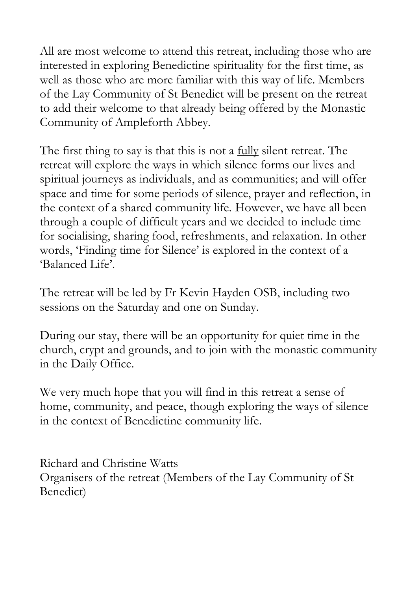All are most welcome to attend this retreat, including those who are interested in exploring Benedictine spirituality for the first time, as well as those who are more familiar with this way of life. Members of the Lay Community of St Benedict will be present on the retreat to add their welcome to that already being offered by the Monastic Community of Ampleforth Abbey.

The first thing to say is that this is not a <u>fully</u> silent retreat. The retreat will explore the ways in which silence forms our lives and spiritual journeys as individuals, and as communities; and will offer space and time for some periods of silence, prayer and reflection, in the context of a shared community life. However, we have all been through a couple of difficult years and we decided to include time for socialising, sharing food, refreshments, and relaxation. In other words, 'Finding time for Silence' is explored in the context of a 'Balanced Life'.

The retreat will be led by Fr Kevin Hayden OSB, including two sessions on the Saturday and one on Sunday.

During our stay, there will be an opportunity for quiet time in the church, crypt and grounds, and to join with the monastic community in the Daily Office.

We very much hope that you will find in this retreat a sense of home, community, and peace, though exploring the ways of silence in the context of Benedictine community life.

Richard and Christine Watts Organisers of the retreat (Members of the Lay Community of St Benedict)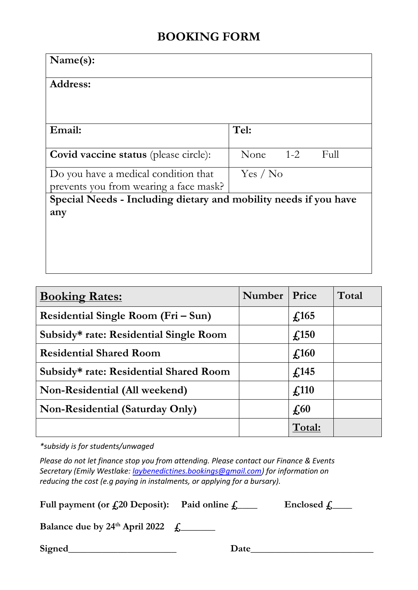### **BOOKING FORM**

| Name(s):                                                         |                         |  |  |
|------------------------------------------------------------------|-------------------------|--|--|
| <b>Address:</b>                                                  |                         |  |  |
|                                                                  |                         |  |  |
| Email:                                                           | Tel:                    |  |  |
| <b>Covid vaccine status</b> (please circle):                     | $1 - 2$<br>None<br>Full |  |  |
| Do you have a medical condition that                             | Yes / No                |  |  |
| prevents you from wearing a face mask?                           |                         |  |  |
| Special Needs - Including dietary and mobility needs if you have |                         |  |  |
| any                                                              |                         |  |  |
|                                                                  |                         |  |  |
|                                                                  |                         |  |  |
|                                                                  |                         |  |  |
|                                                                  |                         |  |  |

| <b>Booking Rates:</b>                  | <b>Number</b> | Price                       | Total |
|----------------------------------------|---------------|-----------------------------|-------|
| Residential Single Room (Fri – Sun)    |               | $\textbf{\textsterling}165$ |       |
| Subsidy* rate: Residential Single Room |               | $\textcolor{blue}{f}$ .150  |       |
| <b>Residential Shared Room</b>         |               | $\textcolor{blue}{f}$ .160  |       |
| Subsidy* rate: Residential Shared Room |               | $\textbf{\textsterling}145$ |       |
| Non-Residential (All weekend)          |               | $\textcolor{blue}{f}$ .110  |       |
| <b>Non-Residential (Saturday Only)</b> |               | $\sqrt{60}$                 |       |
|                                        |               | Total:                      |       |

*\*subsidy is for students/unwaged*

*Please do not let finance stop you from attending. Please contact our Finance & Events Secretary (Emily Westlake: [laybenedictines.bookings@gmail.com\)](mailto:laybenedictines.bookings@gmail.com) for information on reducing the cost (e.g paying in instalments, or applying for a bursary).*

Full payment (or  $\text{\textsterling}20$  Deposit): Paid online  $\text{\textsterling}$  Enclosed  $\text{\textsterling}$ 

**Balance due by 24<sup>th</sup> April 2022**  $f_1$ 

Signed Date